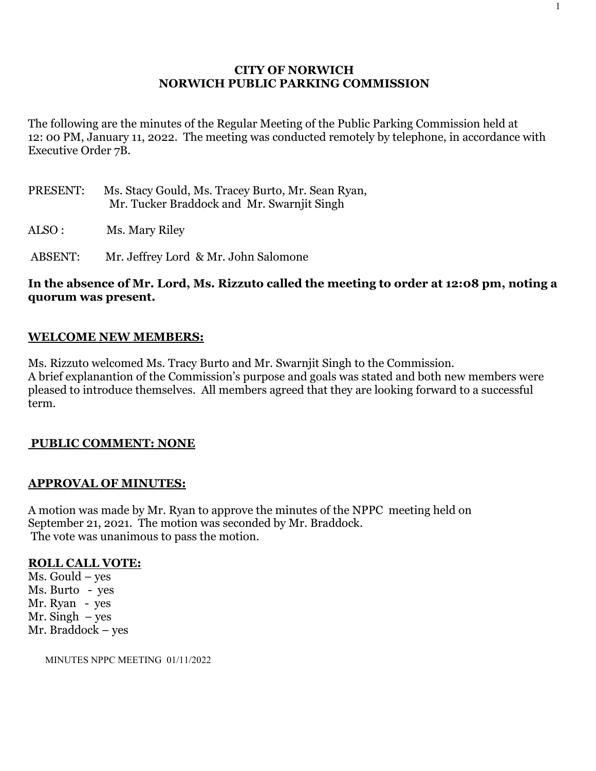## **CITY OF NORWICH NORWICH PUBLIC PARKING COMMISSION**

The following are the minutes of the Regular Meeting of the Public Parking Commission held at 12: 00 PM, January 11, 2022. The meeting was conducted remotely by telephone, in accordance with Executive Order 7B.

- PRESENT: Ms. Stacy Gould, Ms. Tracey Burto, Mr. Sean Ryan, Mr. Tucker Braddock and Mr. Swarnjit Singh
- ALSO : Ms. Mary Riley

ABSENT: Mr. Jeffrey Lord & Mr. John Salomone

## **In the absence of Mr. Lord, Ms. Rizzuto called the meeting to order at 12:08 pm, noting a quorum was present.**

## **WELCOME NEW MEMBERS:**

Ms. Rizzuto welcomed Ms. Tracy Burto and Mr. Swarnjit Singh to the Commission. A brief explanantion of the Commission's purpose and goals was stated and both new members were pleased to introduce themselves. All members agreed that they are looking forward to a successful term.

### **PUBLIC COMMENT: NONE**

### **APPROVAL OF MINUTES:**

A motion was made by Mr. Ryan to approve the minutes of the NPPC meeting held on September 21, 2021. The motion was seconded by Mr. Braddock. The vote was unanimous to pass the motion.

#### **ROLL CALL VOTE:**

Ms. Gould – yes Ms. Burto - yes Mr. Ryan - yes Mr. Singh  $-$  yes Mr. Braddock – yes

MINUTES NPPC MEETING 01/11/2022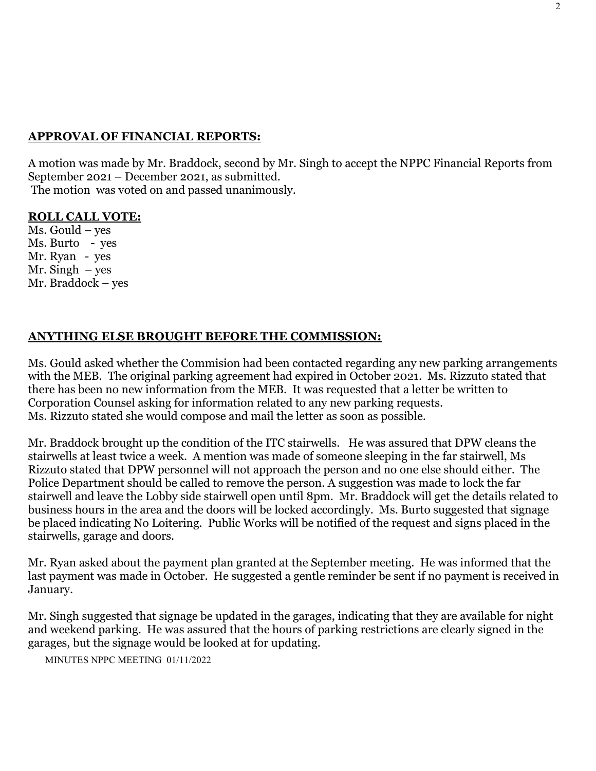# **APPROVAL OF FINANCIAL REPORTS:**

A motion was made by Mr. Braddock, second by Mr. Singh to accept the NPPC Financial Reports from September 2021 – December 2021, as submitted. The motion was voted on and passed unanimously.

## **ROLL CALL VOTE:**

Ms. Gould – yes Ms. Burto - yes Mr. Ryan - yes Mr. Singh  $-$  yes Mr. Braddock – yes

## **ANYTHING ELSE BROUGHT BEFORE THE COMMISSION:**

Ms. Gould asked whether the Commision had been contacted regarding any new parking arrangements with the MEB. The original parking agreement had expired in October 2021. Ms. Rizzuto stated that there has been no new information from the MEB. It was requested that a letter be written to Corporation Counsel asking for information related to any new parking requests. Ms. Rizzuto stated she would compose and mail the letter as soon as possible.

Mr. Braddock brought up the condition of the ITC stairwells. He was assured that DPW cleans the stairwells at least twice a week. A mention was made of someone sleeping in the far stairwell, Ms Rizzuto stated that DPW personnel will not approach the person and no one else should either. The Police Department should be called to remove the person. A suggestion was made to lock the far stairwell and leave the Lobby side stairwell open until 8pm. Mr. Braddock will get the details related to business hours in the area and the doors will be locked accordingly. Ms. Burto suggested that signage be placed indicating No Loitering. Public Works will be notified of the request and signs placed in the stairwells, garage and doors.

Mr. Ryan asked about the payment plan granted at the September meeting. He was informed that the last payment was made in October. He suggested a gentle reminder be sent if no payment is received in January.

Mr. Singh suggested that signage be updated in the garages, indicating that they are available for night and weekend parking. He was assured that the hours of parking restrictions are clearly signed in the garages, but the signage would be looked at for updating.

MINUTES NPPC MEETING 01/11/2022